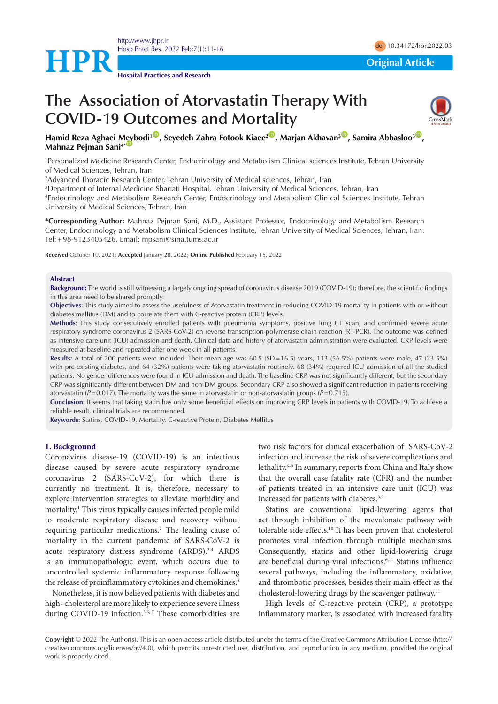

**Hospital Practices and Research**

**HPR**<br> **Original Article** 

# **The Association of Atorvastatin Therapy With COVID-19 Outcomes and Mortality**



**Hamid Reza Aghaei [Meyb](https://orcid.org/0000-0001-6708-1747)odi1** [ID](https://orcid.org/0000-0003-1754-3450) **, Seyedeh Zahra Fotook Kiaee2** [ID](https://orcid.org/0000-0002-7942-9138) **, Marjan Akhavan3** [ID](https://orcid.org/0000-0001-6076-4596) **, Samira Abbasloo3** [ID](https://orcid.org/0000-0002-8822-0758) **, Mahnaz Pejman Sani**<sup>4\*</sup>

1 Personalized Medicine Research Center, Endocrinology and Metabolism Clinical sciences Institute, Tehran University of Medical Sciences, Tehran, Iran

2 Advanced Thoracic Research Center, Tehran University of Medical sciences, Tehran, Iran

3 Department of Internal Medicine Shariati Hospital, Tehran University of Medical Sciences, Tehran, Iran

4 Endocrinology and Metabolism Research Center, Endocrinology and Metabolism Clinical Sciences Institute, Tehran University of Medical Sciences, Tehran, Iran

**\*Corresponding Author:** Mahnaz Pejman Sani, M.D., Assistant Professor, Endocrinology and Metabolism Research Center, Endocrinology and Metabolism Clinical Sciences Institute, Tehran University of Medical Sciences, Tehran, Iran. Tel:+98-9123405426, Email: mpsani@sina.tums.ac.ir

**Received** October 10, 2021; **Accepted** January 28, 2022; **Online Published** February 15, 2022

## **Abstract**

**Background:** The world is still witnessing a largely ongoing spread of coronavirus disease 2019 (COVID-19); therefore, the scientific findings in this area need to be shared promptly.

**Objectives**: This study aimed to assess the usefulness of Atorvastatin treatment in reducing COVID-19 mortality in patients with or without diabetes mellitus (DM) and to correlate them with C-reactive protein (CRP) levels.

**Methods**: This study consecutively enrolled patients with pneumonia symptoms, positive lung CT scan, and confirmed severe acute respiratory syndrome coronavirus 2 (SARS-CoV-2) on reverse transcription-polymerase chain reaction (RT-PCR). The outcome was defined as intensive care unit (ICU) admission and death. Clinical data and history of atorvastatin administration were evaluated. CRP levels were measured at baseline and repeated after one week in all patients.

**Results**: A total of 200 patients were included. Their mean age was 60.5 (SD=16.5) years, 113 (56.5%) patients were male, 47 (23.5%) with pre-existing diabetes, and 64 (32%) patients were taking atorvastatin routinely. 68 (34%) required ICU admission of all the studied patients. No gender differences were found in ICU admission and death. The baseline CRP was not significantly different, but the secondary CRP was significantly different between DM and non-DM groups. Secondary CRP also showed a significant reduction in patients receiving atorvastatin ( $P=0.017$ ). The mortality was the same in atorvastatin or non-atorvastatin groups ( $P=0.715$ ).

**Conclusion**: It seems that taking statin has only some beneficial effects on improving CRP levels in patients with COVID-19. To achieve a reliable result, clinical trials are recommended.

**Keywords:** Statins, COVID-19, Mortality, C-reactive Protein, Diabetes Mellitus

## **1. Background**

Coronavirus disease-19 (COVID-19) is an infectious disease caused by severe acute respiratory syndrome coronavirus 2 (SARS-CoV-2), for which there is currently no treatment. It is, therefore, necessary to explore intervention strategies to alleviate morbidity and mortality.1 This virus typically causes infected people mild to moderate respiratory disease and recovery without requiring particular medications.2 The leading cause of mortality in the current pandemic of SARS-CoV-2 is acute respiratory distress syndrome (ARDS).3,4 ARDS is an immunopathologic event, which occurs due to uncontrolled systemic inflammatory response following the release of proinflammatory cytokines and chemokines.<sup>5</sup>

Nonetheless, it is now believed patients with diabetes and high- cholesterol are more likely to experience severe illness during COVID-19 infection.<sup>3,6, 7</sup> These comorbidities are two risk factors for clinical exacerbation of SARS-CoV-2 infection and increase the risk of severe complications and lethality.6-8 In summary, reports from China and Italy show that the overall case fatality rate (CFR) and the number of patients treated in an intensive care unit (ICU) was increased for patients with diabetes.<sup>3,9</sup>

Statins are conventional lipid-lowering agents that act through inhibition of the mevalonate pathway with tolerable side effects.10 It has been proven that cholesterol promotes viral infection through multiple mechanisms. Consequently, statins and other lipid-lowering drugs are beneficial during viral infections.<sup>6,11</sup> Statins influence several pathways, including the inflammatory, oxidative, and thrombotic processes, besides their main effect as the cholesterol-lowering drugs by the scavenger pathway.11

High levels of C-reactive protein (CRP), a prototype inflammatory marker, is associated with increased fatality

**Copyright** © 2022 The Author(s). This is an open-access article distributed under the terms of the Creative Commons Attribution License (http:// creativecommons.org/licenses/by/4.0), which permits unrestricted use, distribution, and reproduction in any medium, provided the original work is properly cited.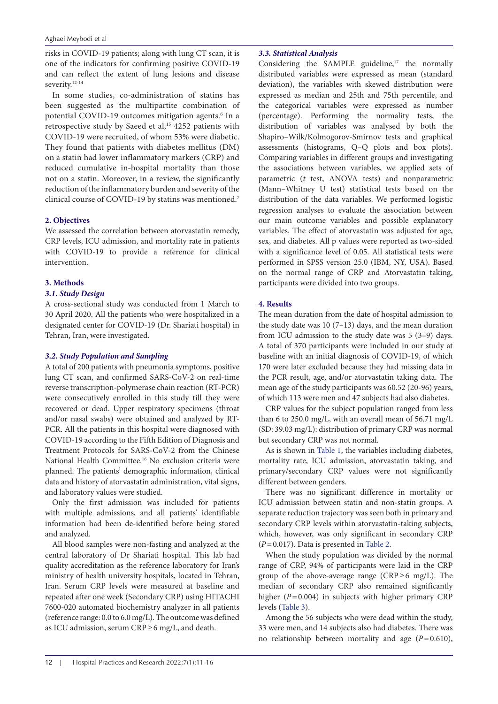risks in COVID-19 patients; along with lung CT scan, it is one of the indicators for confirming positive COVID-19 and can reflect the extent of [lung lesions and disease](https://www.sciencedirect.com/topics/medicine-and-dentistry/silo-fillers-disease) severity.<sup>12-14</sup>

In some studies, co-administration of statins has been suggested as the multipartite combination of potential COVID-19 outcomes mitigation agents.<sup>6</sup> In a retrospective study by Saeed et al,<sup>15</sup> 4252 patients with COVID-19 were recruited, of whom 53% were diabetic. They found that patients with diabetes mellitus (DM) on a statin had lower inflammatory markers (CRP) and reduced cumulative in‐hospital mortality than those not on a statin. Moreover, in a review, the significantly reduction of the inflammatory burden and severity of the clinical course of COVID-19 by statins was mentioned.7

# **2. Objectives**

We assessed the correlation between atorvastatin remedy, CRP levels, ICU admission, and mortality rate in patients with COVID-19 to provide a reference for clinical intervention.

# **3. Methods**

# *3.1. Study Design*

A cross-sectional study was conducted from 1 March to 30 April 2020. All the patients who were hospitalized in a designated center for COVID-19 (Dr. Shariati hospital) in Tehran, Iran, were investigated.

# *3.2. Study Population and Sampling*

A total of 200 patients with pneumonia symptoms, positive lung CT scan, and confirmed SARS-CoV-2 on real-time reverse transcription-polymerase chain reaction (RT-PCR) were consecutively enrolled in this study till they were recovered or dead. Upper respiratory specimens (throat and/or nasal swabs) were obtained and analyzed by RT-PCR. All the patients in this hospital were diagnosed with COVID-19 according to the Fifth Edition of Diagnosis and Treatment Protocols for SARS-CoV-2 from the Chinese National Health Committee.16 No exclusion criteria were planned. The patients' demographic information, clinical data and history of atorvastatin administration, vital signs, and laboratory values were studied.

Only the first admission was included for patients with multiple admissions, and all patients' identifiable information had been de-identified before being stored and analyzed.

All blood samples were non-fasting and analyzed at the central laboratory of Dr Shariati hospital. This lab had quality accreditation as the reference laboratory for Iran's ministry of health university hospitals, located in Tehran, Iran. Serum CRP levels were measured at baseline and repeated after one week (Secondary CRP) using HITACHI 7600-020 automated biochemistry analyzer in all patients (reference range: 0.0 to 6.0 mg/L). The outcome was defined as ICU admission, serum CRP≥6 mg/L, and death.

## *3.3. Statistical Analysis*

Considering the SAMPLE guideline, $17$  the normally distributed variables were expressed as mean (standard deviation), the variables with skewed distribution were expressed as median and 25th and 75th percentile, and the categorical variables were expressed as number (percentage). Performing the normality tests, the distribution of variables was analysed by both the Shapiro–Wilk/Kolmogorov-Smirnov tests and graphical assessments (histograms, Q–Q plots and box plots). Comparing variables in different groups and investigating the associations between variables, we applied sets of parametric (*t* test, ANOVA tests) and nonparametric (Mann–Whitney U test) statistical tests based on the distribution of the data variables. We performed logistic regression analyses to evaluate the association between our main outcome variables and possible explanatory variables. The effect of atorvastatin was adjusted for age, sex, and diabetes. All p values were reported as two-sided with a significance level of 0.05. All statistical tests were performed in SPSS version 25.0 (IBM, NY, USA). Based on the normal range of CRP and Atorvastatin taking, participants were divided into two groups.

# **4. Results**

The mean duration from the date of hospital admission to the study date was 10 (7–13) days, and the mean duration from ICU admission to the study date was 5 (3–9) days. A total of 370 participants were included in our study at baseline with an initial diagnosis of COVID-19, of which 170 were later excluded because they had missing data in the PCR result, age, and/or atorvastatin taking data. The mean age of the study participants was 60.52 (20-96) years, of which 113 were men and 47 subjects had also diabetes.

CRP values for the subject population ranged from less than 6 to 250.0 mg/L, with an overall mean of 56.71 mg/L (SD: 39.03 mg/L): distribution of primary CRP was normal but secondary CRP was not normal.

As is shown in [Table 1,](#page-2-0) the variables including diabetes, mortality rate, ICU admission, atorvastatin taking, and primary/secondary CRP values were not significantly different between genders.

There was no significant difference in mortality or ICU admission between statin and non-statin groups. A separate reduction trajectory was seen both in primary and secondary CRP levels within atorvastatin-taking subjects, which, however, was only significant in secondary CRP (*P*=0.017). Data is presented in [Table 2.](#page-2-1)

When the study population was divided by the normal range of CRP, 94% of participants were laid in the CRP group of the above-average range ( $CRP \ge 6$  mg/L). The median of secondary CRP also remained significantly higher (*P*=0.004) in subjects with higher primary CRP levels [\(Table 3\)](#page-2-2).

Among the 56 subjects who were dead within the study, 33 were men, and 14 subjects also had diabetes. There was no relationship between mortality and age  $(P=0.610)$ ,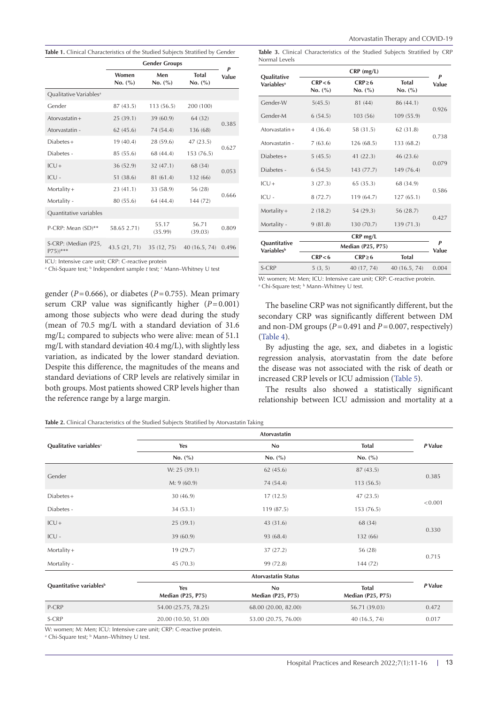<span id="page-2-0"></span>

|  |  | <b>Table 1.</b> Clinical Characteristics of the Studied Subjects Stratified by Gender |  |  |  |  |  |  |  |  |  |
|--|--|---------------------------------------------------------------------------------------|--|--|--|--|--|--|--|--|--|
|--|--|---------------------------------------------------------------------------------------|--|--|--|--|--|--|--|--|--|

|                                               | <b>Gender Groups</b> | Р                |                         |       |  |
|-----------------------------------------------|----------------------|------------------|-------------------------|-------|--|
|                                               | Women<br>No. (%)     | Men<br>No. (%)   | <b>Total</b><br>No. (%) | Value |  |
| Qualitative Variables <sup>a</sup>            |                      |                  |                         |       |  |
| Gender                                        | 87 (43.5)            | 113 (56.5)       | 200 (100)               |       |  |
| Atorvastatin $+$                              | 25(39.1)             | 39 (60.9)        | 64 (32)                 |       |  |
| Atorvastatin -                                | 62(45.6)             | 74 (54.4)        | 136 (68)                | 0.385 |  |
| $Diabetes +$                                  | 19(40.4)             | 28 (59.6)        | 47(23.5)                | 0.627 |  |
| Diabetes -                                    | 85 (55.6)            | 68 (44.4)        | 153 (76.5)              |       |  |
| $ICU +$                                       | 36 (52.9)            | 32 (47.1)        | 68 (34)                 | 0.053 |  |
| $ICU -$                                       | 51 (38.6)            | 81 (61.4)        | 132 (66)                |       |  |
| $Mortality +$                                 | 23(41.1)             | 33 (58.9)        | 56 (28)                 | 0.666 |  |
| Mortality -                                   | 80 (55.6)            | 64 (44.4)        | 144 (72)                |       |  |
| Quantitative variables                        |                      |                  |                         |       |  |
| P-CRP: Mean (SD)**                            | 58.65 2.71)          | 55.17<br>(35.99) | 56.71<br>(39.03)        | 0.809 |  |
| S-CRP: (Median (P25,<br>$P75)$ <sup>***</sup> | 43.5 (21, 71)        | 35 (12, 75)      | 40(16.5, 74)            | 0.496 |  |

ICU: Intensive care unit; CRP: C-reactive protein

<sup>a</sup> Chi-Square test; <sup>b</sup> Independent sample *t* test; <sup>c</sup> Mann–Whitney U test

gender (*P*=0.666), or diabetes (*P*=0.755). Mean primary serum CRP value was significantly higher  $(P=0.001)$ among those subjects who were dead during the study (mean of 70.5 mg/L with a standard deviation of 31.6 mg/L; compared to subjects who were alive: mean of 51.1 mg/L with standard deviation 40.4 mg/L), with slightly less variation, as indicated by the lower standard deviation. Despite this difference, the magnitudes of the means and standard deviations of CRP levels are relatively similar in both groups. Most patients showed CRP levels higher than the reference range by a large margin.

<span id="page-2-2"></span>**Table 3.** Clinical Characteristics of the Studied Subjects Stratified by CRP Normal Levels

|                                                      | $CRP$ (mg/L)             |                        |                         |            |  |
|------------------------------------------------------|--------------------------|------------------------|-------------------------|------------|--|
| Qualitative<br><b>Variables</b> <sup>a</sup>         | CRP < 6<br>No. (%)       | $CRP \ge 6$<br>No. (%) | <b>Total</b><br>No. (%) | P<br>Value |  |
| Gender-W                                             | 5(45.5)                  | 81 (44)                | 86 (44.1)               |            |  |
| Gender-M                                             | 6(54.5)                  | 103 (56)               | 109 (55.9)              | 0.926      |  |
| Atorvastatin $+$                                     | 4(36.4)                  | 58 (31.5)              | 62 (31.8)               | 0.738      |  |
| Atorvastatin -                                       | 7(63.6)                  | 126(68.5)              | 133 (68.2)              |            |  |
| $Diabetes +$                                         | 5(45.5)                  | 41(22.3)               | 46 (23.6)               | 0.079      |  |
| Diabetes -                                           | 6(54.5)                  | 143 (77.7)             | 149 (76.4)              |            |  |
| $ICU +$                                              | 3(27.3)                  | 65(35.3)               | 68 (34.9)               | 0.586      |  |
| $ICU -$                                              | 8(72.7)                  | 119 (64.7)             | 127(65.1)               |            |  |
| $Mortality +$                                        | 2(18.2)                  | 54 (29.3)              | 56 (28.7)               | 0.427      |  |
| Mortality -                                          | 9(81.8)                  | 130 (70.7)             | 139(71.3)               |            |  |
|                                                      |                          | CRP mg/L               |                         | P          |  |
| <b>Quantitative</b><br><b>Variables</b> <sup>b</sup> | <b>Median (P25, P75)</b> |                        |                         |            |  |
|                                                      | CRP < 6                  | $CRP \ge 6$            | <b>Total</b>            | Value      |  |
| S-CRP                                                | 5(3, 5)                  | 40 (17, 74)            | 40 (16.5, 74)           | 0.004      |  |

W: women; M: Men; ICU: Intensive care unit; CRP: C-reactive protein. <sup>a</sup> Chi-Square test; <sup>b</sup> Mann–Whitney U test.

The baseline CRP was not significantly different, but the secondary CRP was significantly different between DM and non-DM groups  $(P=0.491$  and  $P=0.007$ , respectively) [\(Table 4\)](#page-3-0).

By adjusting the age, sex, and diabetes in a logistic regression analysis, atorvastatin from the date before the disease was not associated with the risk of death or increased CRP levels or ICU admission [\(Table 5\)](#page-3-1).

The results also showed a statistically significant relationship between ICU admission and mortality at a

<span id="page-2-1"></span>**Table 2.** Clinical Characteristics of the Studied Subjects Stratified by Atorvastatin Taking

|                                     | Atorvastatin             |                                |                                          |         |  |
|-------------------------------------|--------------------------|--------------------------------|------------------------------------------|---------|--|
| Qualitative variables <sup>a</sup>  | Yes                      | <b>No</b>                      | <b>Total</b>                             | P Value |  |
|                                     | No. (%)                  | No. (%)                        | No. $(\% )$                              |         |  |
| Gender                              | W: 25 (39.1)             | 62(45.6)                       | 87 (43.5)                                | 0.385   |  |
|                                     | M: 9(60.9)               | 74 (54.4)                      | 113(56.5)                                |         |  |
| Diabetes+                           | 30(46.9)                 | 17(12.5)                       | 47(23.5)                                 | < 0.001 |  |
| Diabetes -                          | 34(53.1)                 | 119(87.5)                      | 153 (76.5)                               |         |  |
| $ICU +$                             | 25(39.1)                 | 43 (31.6)                      | 68 (34)                                  |         |  |
| $ICU -$                             | 39(60.9)                 | 93 (68.4)                      | 132 (66)                                 | 0.330   |  |
| $Mortality +$                       | 19(29.7)                 | 37(27.2)                       | 56 (28)                                  | 0.715   |  |
| Mortality -                         | 45(70.3)                 | 99 (72.8)                      | 144 (72)                                 |         |  |
|                                     |                          | <b>Atorvastatin Status</b>     |                                          |         |  |
| Quantitative variables <sup>b</sup> | Yes<br>Median (P25, P75) | No<br><b>Median (P25, P75)</b> | <b>Total</b><br><b>Median (P25, P75)</b> | P Value |  |
| P-CRP                               | 54.00 (25.75, 78.25)     | 68.00 (20.00, 82.00)           | 56.71 (39.03)                            | 0.472   |  |
| S-CRP                               | 20.00 (10.50, 51.00)     | 53.00 (20.75, 76.00)           | 40(16.5, 74)                             | 0.017   |  |

W: women; M: Men; ICU: Intensive care unit; CRP: C-reactive protein.

<sup>a</sup> Chi-Square test; <sup>b</sup> Mann–Whitney U test.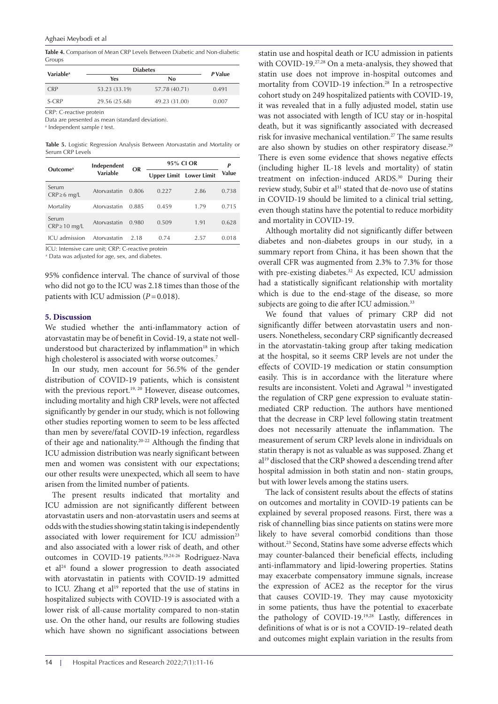<span id="page-3-0"></span>**Table 4.** Comparison of Mean CRP Levels Between Diabetic and Non-diabetic Groups

| <b>Variable</b> <sup>a</sup> | <b>Diabetes</b> | P Value       |       |
|------------------------------|-----------------|---------------|-------|
|                              | Yes<br>No       |               |       |
| <b>CRP</b>                   | 53.23 (33.19)   | 57.78 (40.71) | 0.491 |
| S-CRP                        | 29.56 (25.68)   | 49.23 (31.00) | 0.007 |

CRP: C-reactive protein

Data are presented as mean (standard deviation).

a Independent sample *t* test.

<span id="page-3-1"></span>**Table 5.** Logistic Regression Analysis Between Atorvastatin and Mortality or Serum CRP Levels

| Outcome <sup>a</sup>       | Independent<br>Variable | OR    | 95% CLOR | P                              |       |
|----------------------------|-------------------------|-------|----------|--------------------------------|-------|
|                            |                         |       |          | <b>Upper Limit</b> Lower Limit | Value |
| Serum<br>$CRP \geq 6$ mg/L | Atorvastatin            | 0.806 | 0.227    | 2.86                           | 0.738 |
| Mortality                  | Atorvastatin            | 0.885 | 0.459    | 1.79                           | 0.715 |
| Serum<br>$CRP \ge 10$ mg/L | Atorvastatin            | 0.980 | 0.509    | 1.91                           | 0.628 |
| ICU admission              | Atorvastatin            | 2.18  | 0.74     | 2.57                           | 0.018 |

ICU: Intensive care unit; CRP: C-reactive protein

a Data was adjusted for age, sex, and diabetes.

95% confidence interval. The chance of survival of those who did not go to the ICU was 2.18 times than those of the patients with ICU admission (*P*=0.018).

## **5. Discussion**

We studied whether the anti-inflammatory action of atorvastatin may be of benefit in Covid-19, a state not wellunderstood but characterized by inflammation<sup>18</sup> in which high cholesterol is associated with worse outcomes.<sup>7</sup>

In our study, men account for 56.5% of the gender distribution of COVID‐19 patients, which is consistent with the previous report.<sup>19, 20</sup> However, disease outcomes, including mortality and high CRP levels, were not affected significantly by gender in our study, which is not following other studies reporting women to seem to be less affected than men by severe/fatal COVID‐19 infection, regardless of their age and nationality.20-22 Although the finding that ICU admission distribution was nearly significant between men and women was consistent with our expectations; our other results were unexpected, which all seem to have arisen from the limited number of patients.

The present results indicated that mortality and ICU admission are not significantly different between atorvastatin users and non-atorvastatin users and seems at odds with the studies showing statin taking is independently associated with lower requirement for ICU admission<sup>23</sup> and also associated with a lower risk of death, and other outcomes in COVID-19 patients.<sup>19,24-26</sup> Rodriguez-Nava et al24 found a slower progression to death associated with atorvastatin in patients with COVID-19 admitted to ICU. Zhang et al<sup>19</sup> reported that the use of statins in hospitalized subjects with COVID-19 is associated with a lower risk of all-cause mortality compared to non-statin use. On the other hand, our results are following studies which have shown no significant associations between statin use and hospital death or ICU admission in patients with COVID-19.<sup>27,28</sup> On a meta-analysis, they showed that statin use does not improve in-hospital outcomes and mortality from COVID-19 infection.<sup>28</sup> In a retrospective cohort study on 249 hospitalized patients with COVID-19, it was revealed that in a fully adjusted model, statin use was not associated with length of ICU stay or in-hospital death, but it was significantly associated with decreased risk for invasive mechanical ventilation.<sup>27</sup> The same results are also shown by studies on other respiratory disease.<sup>29</sup> There is even some evidence that shows negative effects (including higher IL-18 levels and mortality) of statin treatment on infection-induced ARDS.30 During their review study, Subir et al<sup>31</sup> stated that de-novo use of statins in COVID-19 should be limited to a clinical trial setting, even though statins have the potential to reduce morbidity and mortality in COVID-19.

Although mortality did not significantly differ between diabetes and non-diabetes groups in our study, in a summary report from China, it has been shown that the overall CFR was augmented from 2.3% to 7.3% for those with pre-existing diabetes.<sup>32</sup> As expected, ICU admission had a statistically significant relationship with mortality which is due to the end-stage of the disease, so more subjects are going to die after ICU admission.<sup>33</sup>

We found that values of primary CRP did not significantly differ between atorvastatin users and nonusers. Nonetheless, secondary CRP significantly decreased in the atorvastatin-taking group after taking medication at the hospital, so it seems CRP levels are not under the effects of COVID-19 medication or statin consumption easily. This is in accordance with the literature where results are inconsistent. Voleti and Agrawal 34 investigated the regulation of CRP gene expression to evaluate statinmediated CRP reduction. The authors have mentioned that the decrease in CRP level following statin treatment does not necessarily attenuate the inflammation. The measurement of serum CRP levels alone in individuals on statin therapy is not as valuable as was supposed. Zhang et al<sup>19</sup> disclosed that the CRP showed a descending trend after hospital admission in both statin and non- statin groups, but with lower levels among the statins users.

The lack of consistent results about the effects of statins on outcomes and mortality in COVID-19 patients can be explained by several proposed reasons. First, there was a risk of channelling bias since patients on statins were more likely to have several comorbid conditions than those without.<sup>23</sup> Second, Statins have some adverse effects which may counter-balanced their beneficial effects, including anti-inflammatory and lipid-lowering properties. Statins may exacerbate compensatory immune signals, increase the expression of ACE2 as the receptor for the virus that causes COVID-19. They may cause myotoxicity in some patients, thus have the potential to exacerbate the pathology of COVID-19.19,28 Lastly, differences in definitions of what is or is not a COVID-19–related death and outcomes might explain variation in the results from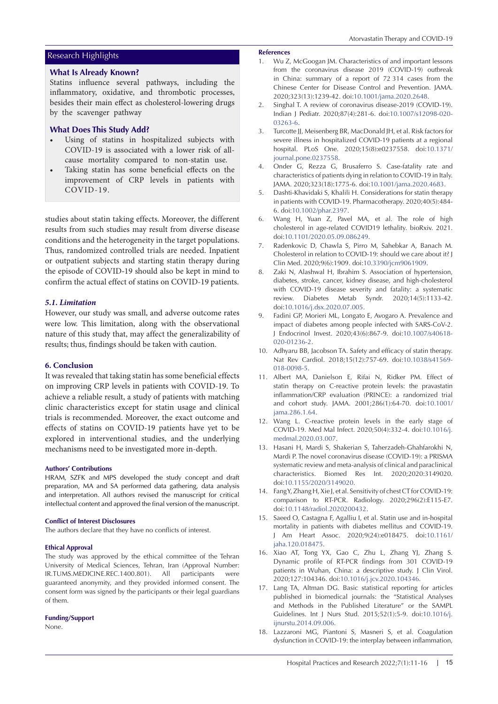# Research Highlights

## **What Is Already Known?**

Statins influence several pathways, including the inflammatory, oxidative, and thrombotic processes, besides their main effect as cholesterol-lowering drugs by the scavenger pathway

# **What Does This Study Add?**

- Using of statins in hospitalized subjects with COVID-19 is associated with a lower risk of allcause mortality compared to non-statin use.
- Taking statin has some beneficial effects on the improvement of CRP levels in patients with COVID-19.

studies about statin taking effects. Moreover, the different results from such studies may result from diverse disease conditions and the heterogeneity in the target populations. Thus, randomized controlled trials are needed. Inpatient or outpatient subjects and starting statin therapy during the episode of COVID-19 should also be kept in mind to confirm the actual effect of statins on COVID-19 patients.

## *5.1. Limitation*

However, our study was small, and adverse outcome rates were low. This limitation, along with the observational nature of this study that, may affect the generalizability of results; thus, findings should be taken with caution.

## **6. Conclusion**

It was revealed that taking statin has some beneficial effects on improving CRP levels in patients with COVID-19. To achieve a reliable result, a study of patients with matching clinic characteristics except for statin usage and clinical trials is recommended. Moreover, the exact outcome and effects of statins on COVID-19 patients have yet to be explored in interventional studies, and the underlying mechanisms need to be investigated more in-depth.

#### **Authors' Contributions**

HRAM, SZFK and MPS developed the study concept and draft preparation, MA and SA performed data gathering, data analysis and interpretation. All authors revised the manuscript for critical intellectual content and approved the final version of the manuscript.

#### **Conflict of Interest Disclosures**

The authors declare that they have no conflicts of interest.

## **Ethical Approval**

The study was approved by the ethical committee of the Tehran University of Medical Sciences, Tehran, Iran (Approval Number: IR.TUMS.MEDICINE.REC.1400.801). All participants were guaranteed anonymity, and they provided informed consent. The consent form was signed by the participants or their legal guardians of them.

### **Funding/Support**

None.

#### **References**

- 1. Wu Z, McGoogan JM. Characteristics of and important lessons from the coronavirus disease 2019 (COVID-19) outbreak in China: summary of a report of 72 314 cases from the Chinese Center for Disease Control and Prevention. JAMA. 2020;323(13):1239-42. doi[:10.1001/jama.2020.2648](https://doi.org/10.1001/jama.2020.2648).
- 2. Singhal T. A review of coronavirus disease-2019 (COVID-19). Indian J Pediatr. 2020;87(4):281-6. doi[:10.1007/s12098-020-](https://doi.org/10.1007/s12098-020-03263-6) [03263-6](https://doi.org/10.1007/s12098-020-03263-6).
- 3. Turcotte JJ, Meisenberg BR, MacDonald JH, et al. Risk factors for severe illness in hospitalized COVID-19 patients at a regional hospital. PLoS One. 2020;15(8):e0237558. doi[:10.1371/](https://doi.org/10.1371/journal.pone.0237558) [journal.pone.0237558](https://doi.org/10.1371/journal.pone.0237558).
- 4. Onder G, Rezza G, Brusaferro S. Case-fatality rate and characteristics of patients dying in relation to COVID-19 in Italy. JAMA. 2020;323(18):1775-6. doi:[10.1001/jama.2020.4683.](https://doi.org/10.1001/jama.2020.4683)
- 5. Dashti-Khavidaki S, Khalili H. Considerations for statin therapy in patients with COVID-19. Pharmacotherapy. 2020;40(5):484- 6. doi[:10.1002/phar.2397](https://doi.org/10.1002/phar.2397).
- 6. Wang H, Yuan Z, Pavel MA, et al. The role of high cholesterol in age-related COVID19 lethality. bioRxiv. 2021. doi[:10.1101/2020.05.09.086249](https://doi.org/10.1101/2020.05.09.086249).
- 7. Radenkovic D, Chawla S, Pirro M, Sahebkar A, Banach M. Cholesterol in relation to COVID-19: should we care about it? J Clin Med. 2020;9(6):1909. doi:[10.3390/jcm9061909.](https://doi.org/10.3390/jcm9061909)
- 8. Zaki N, Alashwal H, Ibrahim S. Association of hypertension, diabetes, stroke, cancer, kidney disease, and high-cholesterol with COVID-19 disease severity and fatality: a systematic review. Diabetes Metab Syndr. 2020;14(5):1133-42. doi[:10.1016/j.dsx.2020.07.005](https://doi.org/10.1016/j.dsx.2020.07.005).
- 9. Fadini GP, Morieri ML, Longato E, Avogaro A. Prevalence and impact of diabetes among people infected with SARS-CoV-2. J Endocrinol Invest. 2020;43(6):867-9. doi[:10.1007/s40618-](https://doi.org/10.1007/s40618-020-01236-2) [020-01236-2](https://doi.org/10.1007/s40618-020-01236-2).
- 10. Adhyaru BB, Jacobson TA. Safety and efficacy of statin therapy. Nat Rev Cardiol. 2018;15(12):757-69. doi[:10.1038/s41569-](https://doi.org/10.1038/s41569-018-0098-5) [018-0098-5.](https://doi.org/10.1038/s41569-018-0098-5)
- 11. Albert MA, Danielson E, Rifai N, Ridker PM. Effect of statin therapy on C-reactive protein levels: the pravastatin inflammation/CRP evaluation (PRINCE): a randomized trial and cohort study. JAMA. 2001;286(1):64-70. doi[:10.1001/](https://doi.org/10.1001/jama.286.1.64) [jama.286.1.64](https://doi.org/10.1001/jama.286.1.64).
- 12. Wang L. C-reactive protein levels in the early stage of COVID-19. Med Mal Infect. 2020;50(4):332-4. doi:[10.1016/j.](https://doi.org/10.1016/j.medmal.2020.03.007) [medmal.2020.03.007.](https://doi.org/10.1016/j.medmal.2020.03.007)
- 13. Hasani H, Mardi S, Shakerian S, Taherzadeh-Ghahfarokhi N, Mardi P. The novel coronavirus disease (COVID-19): a PRISMA systematic review and meta-analysis of clinical and paraclinical characteristics. Biomed Res Int. 2020;2020:3149020. doi[:10.1155/2020/3149020.](https://doi.org/10.1155/2020/3149020)
- 14. Fang Y, Zhang H, Xie J, et al. Sensitivity of chest CT for COVID-19: comparison to RT-PCR. Radiology. 2020;296(2):E115-E7. doi[:10.1148/radiol.2020200432](https://doi.org/10.1148/radiol.2020200432).
- 15. Saeed O, Castagna F, Agalliu I, et al. Statin use and in-hospital mortality in patients with diabetes mellitus and COVID-19. J Am Heart Assoc. 2020;9(24):e018475. doi[:10.1161/](https://doi.org/10.1161/jaha.120.018475) [jaha.120.018475](https://doi.org/10.1161/jaha.120.018475).
- 16. Xiao AT, Tong YX, Gao C, Zhu L, Zhang YJ, Zhang S. Dynamic profile of RT-PCR findings from 301 COVID-19 patients in Wuhan, China: a descriptive study. J Clin Virol. 2020;127:104346. doi[:10.1016/j.jcv.2020.104346](https://doi.org/10.1016/j.jcv.2020.104346).
- 17. Lang TA, Altman DG. Basic statistical reporting for articles published in biomedical journals: the "Statistical Analyses and Methods in the Published Literature" or the SAMPL Guidelines. Int J Nurs Stud. 2015;52(1):5-9. doi:[10.1016/j.](https://doi.org/10.1016/j.ijnurstu.2014.09.006) [ijnurstu.2014.09.006](https://doi.org/10.1016/j.ijnurstu.2014.09.006).
- 18. Lazzaroni MG, Piantoni S, Masneri S, et al. Coagulation dysfunction in COVID-19: the interplay between inflammation,